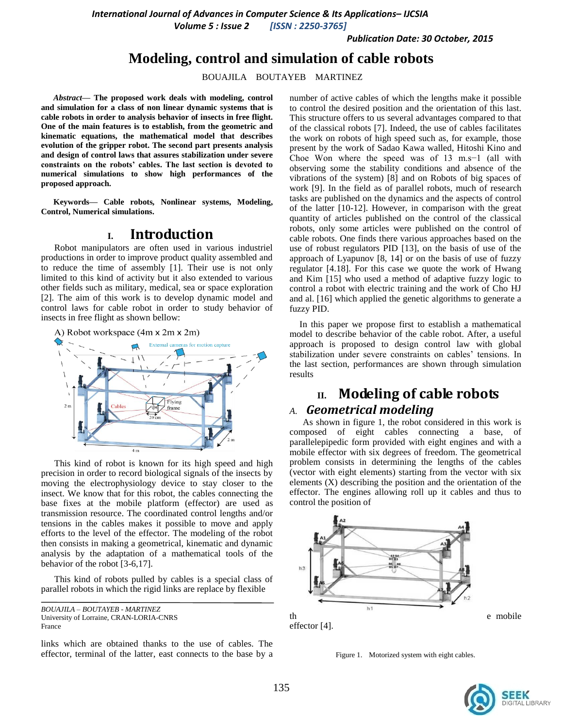*Volume 5 : Issue 2 [ISSN : 2250-3765]*

*Publication Date: 30 October, 2015*

## **Modeling, control and simulation of cable robots**

BOUAJILA BOUTAYEB MARTINEZ

*Abstract***— The proposed work deals with modeling, control and simulation for a class of non linear dynamic systems that is cable robots in order to analysis behavior of insects in free flight. One of the main features is to establish, from the geometric and kinematic equations, the mathematical model that describes evolution of the gripper robot. The second part presents analysis and design of control laws that assures stabilization under severe constraints on the robots' cables. The last section is devoted to numerical simulations to show high performances of the proposed approach.** 

**Keywords— Cable robots***,* **Nonlinear systems, Modeling, Control, Numerical simulations.** 

## **I. Introduction**

Robot manipulators are often used in various industriel productions in order to improve product quality assembled and to reduce the time of assembly [1]. Their use is not only limited to this kind of activity but it also extended to various other fields such as military, medical, sea or space exploration [2]. The aim of this work is to develop dynamic model and control laws for cable robot in order to study behavior of insects in free flight as shown bellow:



This kind of robot is known for its high speed and high precision in order to record biological signals of the insects by moving the electrophysiology device to stay closer to the insect. We know that for this robot, the cables connecting the base fixes at the mobile platform (effector) are used as transmission resource. The coordinated control lengths and/or tensions in the cables makes it possible to move and apply efforts to the level of the effector. The modeling of the robot then consists in making a geometrical, kinematic and dynamic analysis by the adaptation of a mathematical tools of the behavior of the robot [3-6,17].

This kind of robots pulled by cables is a special class of parallel robots in which the rigid links are replace by flexible

links which are obtained thanks to the use of cables. The effector, terminal of the latter, east connects to the base by a number of active cables of which the lengths make it possible to control the desired position and the orientation of this last. This structure offers to us several advantages compared to that of the classical robots [7]. Indeed, the use of cables facilitates the work on robots of high speed such as, for example, those present by the work of Sadao Kawa walled, Hitoshi Kino and Choe Won where the speed was of 13 m.s−1 (all with observing some the stability conditions and absence of the vibrations of the system) [8] and on Robots of big spaces of work [9]. In the field as of parallel robots, much of research tasks are published on the dynamics and the aspects of control of the latter [10-12]. However, in comparison with the great quantity of articles published on the control of the classical robots, only some articles were published on the control of cable robots. One finds there various approaches based on the use of robust regulators PID [13], on the basis of use of the approach of Lyapunov [8, 14] or on the basis of use of fuzzy regulator [4.18]. For this case we quote the work of Hwang and Kim [15] who used a method of adaptive fuzzy logic to control a robot with electric training and the work of Cho HJ and al. [16] which applied the genetic algorithms to generate a fuzzy PID.

In this paper we propose first to establish a mathematical model to describe behavior of the cable robot. After, a useful approach is proposed to design control law with global stabilization under severe constraints on cables' tensions. In the last section, performances are shown through simulation results

# **II. Modeling of cable robots**

## *A. Geometrical modeling*

As shown in figure 1, the robot considered in this work is composed of eight cables connecting a base, of parallelepipedic form provided with eight engines and with a mobile effector with six degrees of freedom. The geometrical problem consists in determining the lengths of the cables (vector with eight elements) starting from the vector with six elements (X) describing the position and the orientation of the effector. The engines allowing roll up it cables and thus to control the position of



Figure 1. Motorized system with eight cables.



*BOUAJILA – BOUTAYEB - MARTINEZ* University of Lorraine, CRAN-LORIA-CNRS France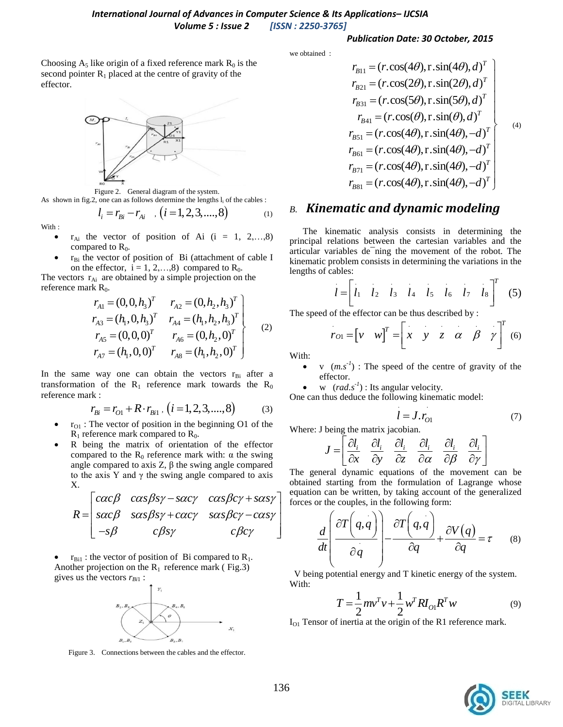#### *Publication Date: 30 October, 2015*

we obtained :

Choosing  $A_5$  like origin of a fixed reference mark  $R_0$  is the second pointer  $R_1$  placed at the centre of gravity of the effector.



Figure 2. General diagram of the system. As shown in fig.2, one can as follows determine the lengths  $l_i$  of the cables :

$$
l_i = r_{Bi} - r_{Ai} \quad , (i = 1, 2, 3, \dots, 8) \tag{1}
$$

With :

- $r_{Ai}$  the vector of position of Ai (i = 1, 2,...,8) compared to  $R_0$ .
- $r_{Bi}$  the vector of position of Bi (attachment of cable I on the effector,  $i = 1, 2, \dots, 8$  compared to  $R_0$ .

The vectors  $r_{Ai}$  are obtained by a simple projection on the reference mark  $R_0$ .

rk R<sub>0</sub>.  
\n
$$
r_{A1} = (0, 0, h_3)^T \t r_{A2} = (0, h_2, h_3)^T
$$
\n
$$
r_{A3} = (h_1, 0, h_3)^T \t r_{A4} = (h_1, h_2, h_3)^T
$$
\n
$$
r_{A5} = (0, 0, 0)^T \t r_{A6} = (0, h_2, 0)^T
$$
\n
$$
r_{A7} = (h_1, 0, 0)^T \t r_{A8} = (h_1, h_2, 0)^T
$$
\n(2)

In the same way one can obtain the vectors  $r_{\text{Bi}}$  after a transformation of the  $R_1$  reference mark towards the  $R_0$ reference mark :

$$
r_{Bi} = r_{O1} + R \cdot r_{Bi1} , (i = 1, 2, 3, ..., 8)
$$
 (3)

- $r_{01}$ : The vector of position in the beginning O1 of the  $R_1$  reference mark compared to  $R_0$ .
- R being the matrix of orientation of the effector compared to the  $R_0$  reference mark with:  $\alpha$  the swing angle compared to axis  $Z$ ,  $β$  the swing angle compared X.

to the axis Y and 
$$
\gamma
$$
 the swing angle compared to axis  
\nX.  
\n
$$
R = \begin{bmatrix} c\alpha c\beta & c\alpha s\beta s\gamma - s\alpha c\gamma & c\alpha s\beta c\gamma + s\alpha s\gamma \\ s\alpha c\beta & s\alpha s\beta s\gamma + c\alpha c\gamma & s\alpha s\beta c\gamma - c\alpha s\gamma \\ -s\beta & c\beta s\gamma & c\beta c\gamma \end{bmatrix} \begin{matrix} \text{The } g \\ \text{obtained} \\ \text{forces} \\ \text{forces} \end{matrix}
$$

 $r_{\text{Bil}}$ : the vector of position of Bi compared to R<sub>1</sub>. Another projection on the  $R_1$  reference mark (Fig.3) gives us the vectors  $r_{Bi1}$ :



Figure 3. Connections between the cables and the effector.

$$
r_{B11} = (r.\cos(4\theta), r.\sin(4\theta), d)^{T}
$$
  
\n
$$
r_{B21} = (r.\cos(2\theta), r.\sin(2\theta), d)^{T}
$$
  
\n
$$
r_{B31} = (r.\cos(5\theta), r.\sin(5\theta), d)^{T}
$$
  
\n
$$
r_{B41} = (r.\cos(\theta), r.\sin(\theta), d)^{T}
$$
  
\n
$$
r_{B51} = (r.\cos(4\theta), r.\sin(4\theta), -d)^{T}
$$
  
\n
$$
r_{B61} = (r.\cos(4\theta), r.\sin(4\theta), -d)^{T}
$$
  
\n
$$
r_{B71} = (r.\cos(4\theta), r.\sin(4\theta), -d)^{T}
$$
  
\n
$$
r_{B81} = (r.\cos(4\theta), r.\sin(4\theta), -d)^{T}
$$

## *B. Kinematic and dynamic modeling*

The kinematic analysis consists in determining the principal relations between the cartesian variables and the articular variables de¯ning the movement of the robot. The kinematic problem consists in determining the variations in the lengths of cables:

gths of cables:  

$$
l = \begin{bmatrix} i_1 & i_2 & i_3 & i_4 & i_5 & i_6 & i_7 & i_8 \end{bmatrix}^T
$$
(5)

The speed of the effector can be thus described by :  
\n
$$
r_{O1} = \begin{bmatrix} v & w \end{bmatrix}^T = \begin{bmatrix} x & y & z & \alpha & \beta & \gamma \end{bmatrix}^T
$$
\n(6)

With:

- v  $(m.s^{-1})$ : The speed of the centre of gravity of the effector.
- w  $(rad.s<sup>-1</sup>)$ : Its angular velocity.

One can thus deduce the following kinematic model:

$$
l = J.r_{01} \tag{7}
$$

Where: J being the matrix jacobian.  
\n
$$
J = \begin{bmatrix} \frac{\partial l_i}{\partial x} & \frac{\partial l_i}{\partial y} & \frac{\partial l_i}{\partial z} & \frac{\partial l_i}{\partial \alpha} & \frac{\partial l_i}{\partial \beta} & \frac{\partial l_i}{\partial \gamma} \end{bmatrix}
$$

The general dynamic equations of the movement can be obtained starting from the formulation of Lagrange whose equation can be written, by taking account of the generalized

$$
\frac{d}{dt} \left( \frac{\partial T}{\partial q} \right) - \frac{\partial T}{\partial q} \left( q, \frac{d}{dq} \right) = \tau
$$
\n
$$
\frac{d}{dt} \left( \frac{\partial T}{\partial q} \right) - \frac{\partial T}{\partial q} \left( q, \frac{d}{dq} \right) + \frac{\partial V}{\partial q} \left( q \right) = \tau
$$
\n(8)

V being potential energy and T kinetic energy of the system. With:

$$
T = \frac{1}{2} m v^T v + \frac{1}{2} w^T R I_{O1} R^T w
$$
 (9)

 $I<sub>O1</sub>$  Tensor of inertia at the origin of the R1 reference mark.

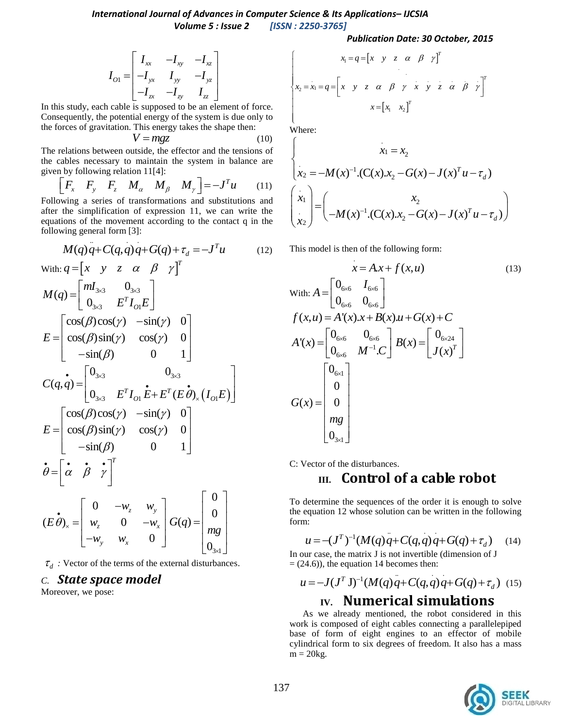1  $I_{xx}$   $-I_{xy}$   $-I_{xz}$  $I_{y} = -I_{yx}$   $I_{yy}$   $-I_{yz}$  $I_{zx}$   $-I_{zy}$   $I_{zz}$  $I_{xx}$   $-I_{xy}$   $-I$  $I_{O1} = \begin{vmatrix} x & xy & y \\ -I_{yx} & I_{yy} & -I \end{vmatrix}$  $I_{zx}$   $-I_{zy}$  *I*  $\begin{bmatrix} I_{xx} & -I_{xy} & -I_{xz} \\ -I & I & -I \end{bmatrix}$  $=\begin{bmatrix} -xx & -xy & -xz \\ -I_{yx} & I_{yy} & -I_{yz} \\ -I_{zx} & -I_{zy} & I_{zz} \end{bmatrix}$ 

In this study, each cable is supposed to be an element of force. Consequently, the potential energy of the system is due only to the forces of gravitation. This energy takes the shape then:

$$
V = mgz \tag{10}
$$

The relations between outside, the effector and the tensions of the cables necessary to maintain the system in balance are

The cases necessary to maintain the system in balance are given by following relation 11[4]:  
\n
$$
\begin{bmatrix} F_x & F_y & F_z & M_\alpha & M_\beta & M_\gamma \end{bmatrix} = -J^T u
$$
\n(11)

Following a series of transformations and substitutions and after the simplification of expression 11, we can write the equations of the movement according to the contact q in the following general form  $[3]$ :

lowing general form [3]:  
\n
$$
M(q)q + C(q,q)q + G(q) + \tau_d = -J^T u \qquad (12)
$$

$$
\begin{aligned}\n\text{With: } q &= \begin{bmatrix} x & y & z & \alpha & \beta & \gamma \end{bmatrix}^T \\
M(q) &= \begin{bmatrix} mI_{3\times 3} & 0_{3\times 3} \\ 0_{3\times 3} & E^T I_{O1} E \end{bmatrix} \\
E &= \begin{bmatrix} \cos(\beta)\cos(\gamma) & -\sin(\gamma) & 0 \\ \cos(\beta)\sin(\gamma) & \cos(\gamma) & 0 \\ -\sin(\beta) & 0 & 1 \end{bmatrix} \\
C(q, q) &= \begin{bmatrix} 0_{3\times 3} & 0_{3\times 3} \\ 0_{3\times 3} & E^T I_{O1} E + E^T (E \dot{\theta})_x (I_{O1} E) \end{bmatrix} \\
E &= \begin{bmatrix} \cos(\beta)\cos(\gamma) & -\sin(\gamma) & 0 \\ \cos(\beta)\sin(\gamma) & \cos(\gamma) & 0 \\ -\sin(\beta) & 0 & 1 \end{bmatrix} \\
\dot{\theta} &= \begin{bmatrix} \dot{\alpha} & \dot{\beta} & \dot{\gamma} \\ \dot{\alpha} & \dot{\beta} & \dot{\gamma} \end{bmatrix}^T \\
(E \dot{\theta})_x &= \begin{bmatrix} 0 & -w_z & w_y \\ w_z & 0 & -w_x \\ -w_y & w_x & 0 \end{bmatrix} G(q) &= \begin{bmatrix} 0 \\ 0 \\ m_g \\ 0 \\ 0_{3\times 1} \end{bmatrix}\n\end{aligned}
$$

 $\tau_d$ : Vector of the terms of the external disturbances.

0

 $\times$ 

## *C. State space model*

Moreover, we pose:

**Publication Date: 30 October, 2015**  
\n
$$
\begin{bmatrix}\nx_1 = q = \begin{bmatrix} x & y & z & \alpha & \beta & \gamma \end{bmatrix}^T \\
x_2 = x_1 = q = \begin{bmatrix} x & y & z & \alpha & \beta & \gamma & x & y & z & \alpha & \beta & \gamma \end{bmatrix}^T \\
x = \begin{bmatrix} x_1 & x_2 \end{bmatrix}^T\n\end{bmatrix}
$$

 $\lfloor$ Where:

 $\begin{array}{c} \end{array}$ 

 $\begin{array}{c} \end{array}$ 

Where:  
\n
$$
\begin{cases}\nx_1 = x_2 \\
x_2 = -M(x)^{-1} \cdot (C(x).x_2 - G(x) - J(x)^T u - \tau_d)\n\end{cases}
$$
\n
$$
\begin{pmatrix}\nx_1 \\
x_2\n\end{pmatrix} = \begin{pmatrix}\nx_2 \\
-M(x)^{-1} \cdot (C(x).x_2 - G(x) - J(x)^T u - \tau_d)\n\end{pmatrix}
$$

This model is then of the following form:

$$
x = A.x + f(x, u)
$$
\nWith:

\n
$$
A = \begin{bmatrix} 0_{6 \times 6} & I_{6 \times 6} \\ 0_{6 \times 6} & 0_{6 \times 6} \end{bmatrix}
$$
\n
$$
f(x, u) = A'(x).x + B(x).u + G(x) + C
$$
\n
$$
A'(x) = \begin{bmatrix} 0_{6 \times 6} & 0_{6 \times 6} \\ 0_{6 \times 6} & M^{-1}.C \end{bmatrix} B(x) = \begin{bmatrix} 0_{6 \times 24} \\ J(x)^T \end{bmatrix}
$$
\n
$$
G(x) = \begin{bmatrix} 0_{6 \times 1} \\ 0 \\ 0 \\ mg \\ 0_{3 \times 1} \end{bmatrix}
$$
\n(13)

C: Vector of the disturbances.

## **III. Control of a cable robot**

To determine the sequences of the order it is enough to solve the equation 12 whose solution can be written in the following form:  $\overline{\phantom{a}}$ .

n:  
\n
$$
u = -(J^T)^{-1}(M(q)q + C(q,q)q + G(q) + \tau_d)
$$
\n(14)

In our case, the matrix J is not invertible (dimension of J

$$
u = -J(JT J)-1 (M(q) q + C(q,q) q + G(q) + \tau_d)
$$
 (15)  
IV. Numerical simulations

As we already mentioned, the robot considered in this work is composed of eight cables connecting a parallelepiped base of form of eight engines to an effector of mobile cylindrical form to six degrees of freedom. It also has a mass  $m = 20$ kg.

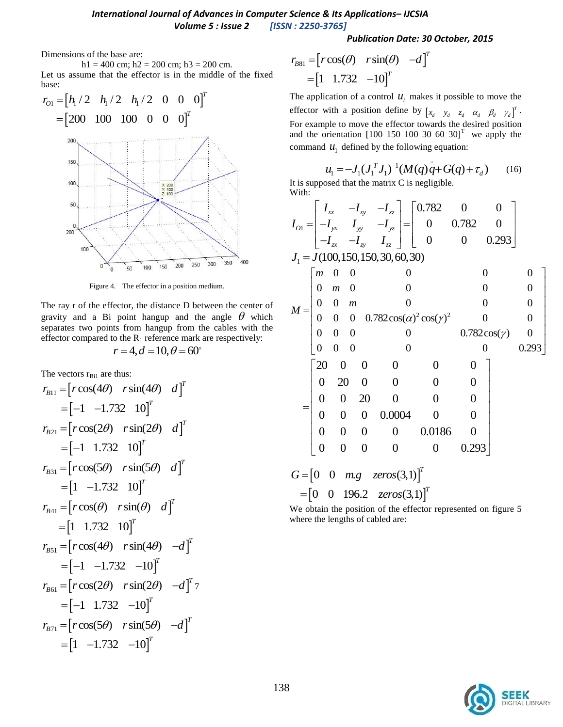### *Publication Date: 30 October, 2015*

Dimensions of the base are:

h1 = 400 cm; h2 = 200 cm; h3 = 200 cm.

Let us assume that the effector is in the middle of the fixed base:



Figure 4. The effector in a position medium.

The ray r of the effector, the distance D between the center of gravity and a Bi point hangup and the angle  $\theta$  which separates two points from hangup from the cables with the effector compared to the  $R_1$  reference mark are respectively:

$$
r = 4, d = 10, \theta = 60^{\circ}
$$

The vectors 
$$
r_{\text{Bi1}}
$$
 are thus:  
\n
$$
r_{B11} = [r \cos(4\theta) \text{ r} \sin(4\theta) \text{ d}]^{T}
$$
\n
$$
= [-1 \text{ -1.732 } 10]^{T}
$$
\n
$$
r_{B21} = [r \cos(2\theta) \text{ r} \sin(2\theta) \text{ d}]^{T}
$$
\n
$$
= [-1 \text{ 1.732 } 10]^{T}
$$
\n
$$
r_{B31} = [r \cos(5\theta) \text{ r} \sin(5\theta) \text{ d}]^{T}
$$
\n
$$
= [1 \text{ -1.732 } 10]^{T}
$$
\n
$$
r_{B41} = [r \cos(\theta) \text{ r} \sin(\theta) \text{ d}]^{T}
$$
\n
$$
= [1 \text{ 1.732 } 10]^{T}
$$
\n
$$
r_{B51} = [r \cos(4\theta) \text{ r} \sin(4\theta) \text{ -d}]^{T}
$$
\n
$$
= [-1 \text{ -1.732 } -10]^{T}
$$
\n
$$
r_{B61} = [r \cos(2\theta) \text{ r} \sin(2\theta) \text{ -d}]^{T}
$$
\n
$$
= [-1 \text{ 1.732 } -10]^{T}
$$
\n
$$
r_{B71} = [r \cos(5\theta) \text{ r} \sin(5\theta) \text{ -d}]^{T}
$$
\n
$$
= [1 \text{ -1.732 } -10]^{T}
$$

$$
r_{B81} = [r\cos(\theta) \quad r\sin(\theta) \quad -d]^T
$$

$$
= [1 \quad 1.732 \quad -10]^T
$$

The application of a control  $u_i$  makes it possible to move the effector with a position define by  $\begin{bmatrix} x_d & y_d & z_d & \alpha_d & \beta_d & \gamma_d \end{bmatrix}^T$ . For example to move the effector towards the desired position and the orientation  $[100 150 100 30 60 30]$ <sup>T</sup> we apply the

command 
$$
u_1
$$
 defined by the following equation:  
\n
$$
u_1 = -J_1(J_1^T J_1)^{-1} (M(q) \dot{q} + G(q) + \tau_d)
$$
\n
$$
u_1 = -J_1(J_1^T J_1)^{-1} (M(q) \dot{q} + G(q) + \tau_d)
$$
\n
$$
u_1 = -J_1(J_1^T J_1)^{-1} (M(q) \dot{q} + G(q) + \tau_d)
$$
\n
$$
u_1 = -J_1(J_1^T J_1)^{-1} (M(q) \dot{q} + G(q) + \tau_d)
$$
\n
$$
u_1 = -J_1(J_1^T J_1)^{-1} (M(q) \dot{q} + G(q) + \tau_d)
$$
\n
$$
u_1 = -J_1(J_1^T J_1)^{-1} (M(q) \dot{q} + G(q) + \tau_d)
$$

With:

 81 cos( ) sin( ) It is supposed that the matrix C is negligible. *I I I* 1 0.782 0 0 0 0.782 0 0 0 0.293 *xx xy xz O yx yy yz zx zy zz I I I I I I I* 1 *J J* (100,150,150,30,60,30)2 2 0 0 0 0 0 0 0 0 0 0 0 0 0 0 0 0 0 0 0.782cos( ) cos( ) 0 0 0 0 0 0 0.782cos( ) 0 0 0 0 0 0 0.293 *m m <sup>m</sup> <sup>M</sup>* 20 0 0 0 0 0 0 20 0 0 0 0 0 0 20 0 0 0 0 0 0 0.0004 0 0 0 0 0 0 0.0186 0 0 0 0 0 0 0.293 0 0 . (3,1) *T G m g zeros* 0 0 196.2 (3,1) *T zeros*

We obtain the position of the effector represented on figure 5 where the lengths of cabled are: